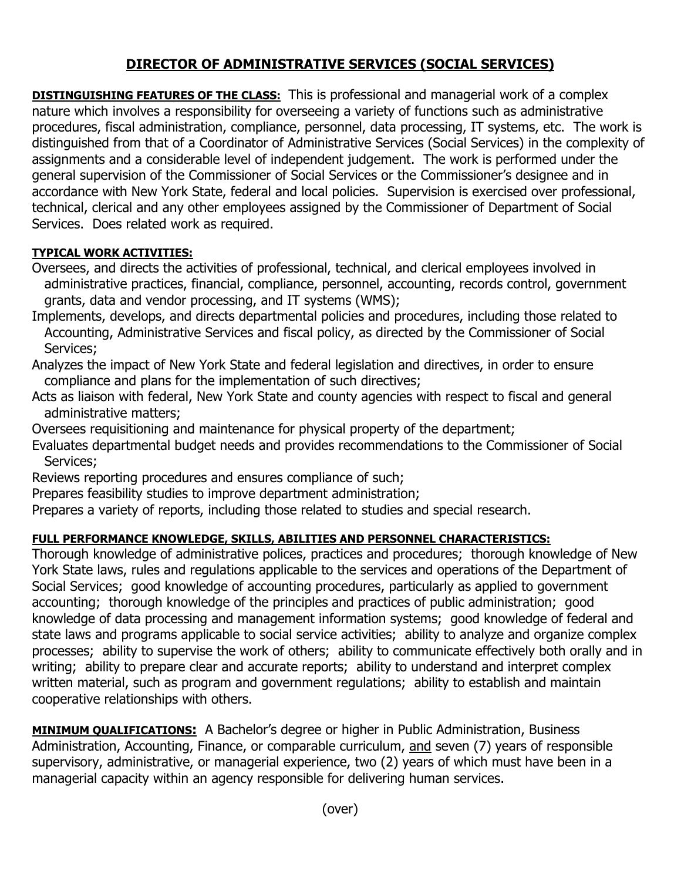## **DIRECTOR OF ADMINISTRATIVE SERVICES (SOCIAL SERVICES)**

**DISTINGUISHING FEATURES OF THE CLASS:** This is professional and managerial work of a complex nature which involves a responsibility for overseeing a variety of functions such as administrative procedures, fiscal administration, compliance, personnel, data processing, IT systems, etc. The work is distinguished from that of a Coordinator of Administrative Services (Social Services) in the complexity of assignments and a considerable level of independent judgement. The work is performed under the general supervision of the Commissioner of Social Services or the Commissioner's designee and in accordance with New York State, federal and local policies. Supervision is exercised over professional, technical, clerical and any other employees assigned by the Commissioner of Department of Social Services. Does related work as required.

## **TYPICAL WORK ACTIVITIES:**

- Oversees, and directs the activities of professional, technical, and clerical employees involved in administrative practices, financial, compliance, personnel, accounting, records control, government grants, data and vendor processing, and IT systems (WMS);
- Implements, develops, and directs departmental policies and procedures, including those related to Accounting, Administrative Services and fiscal policy, as directed by the Commissioner of Social Services;
- Analyzes the impact of New York State and federal legislation and directives, in order to ensure compliance and plans for the implementation of such directives;
- Acts as liaison with federal, New York State and county agencies with respect to fiscal and general administrative matters;
- Oversees requisitioning and maintenance for physical property of the department;
- Evaluates departmental budget needs and provides recommendations to the Commissioner of Social Services;
- Reviews reporting procedures and ensures compliance of such;
- Prepares feasibility studies to improve department administration;
- Prepares a variety of reports, including those related to studies and special research.

## **FULL PERFORMANCE KNOWLEDGE, SKILLS, ABILITIES AND PERSONNEL CHARACTERISTICS:**

Thorough knowledge of administrative polices, practices and procedures; thorough knowledge of New York State laws, rules and regulations applicable to the services and operations of the Department of Social Services; good knowledge of accounting procedures, particularly as applied to government accounting; thorough knowledge of the principles and practices of public administration; good knowledge of data processing and management information systems; good knowledge of federal and state laws and programs applicable to social service activities; ability to analyze and organize complex processes; ability to supervise the work of others; ability to communicate effectively both orally and in writing; ability to prepare clear and accurate reports; ability to understand and interpret complex written material, such as program and government regulations; ability to establish and maintain cooperative relationships with others.

**MINIMUM QUALIFICATIONS:** A Bachelor's degree or higher in Public Administration, Business Administration, Accounting, Finance, or comparable curriculum, and seven (7) years of responsible supervisory, administrative, or managerial experience, two (2) years of which must have been in a managerial capacity within an agency responsible for delivering human services.